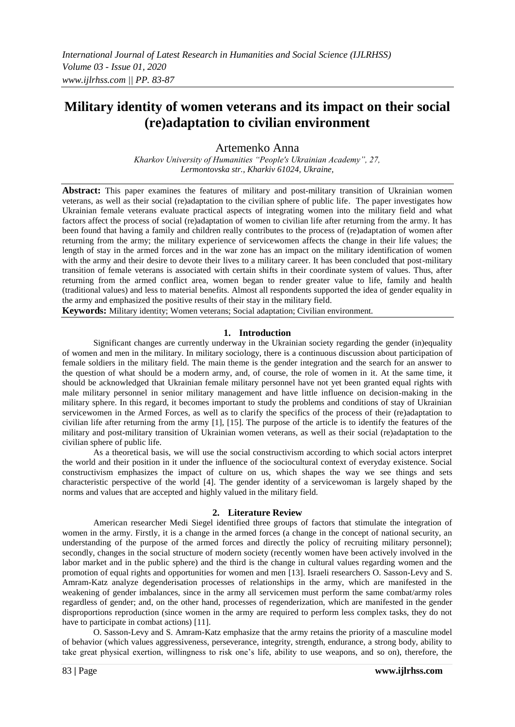# **Military identity of women veterans and its impact on their social (re)adaptation to civilian environment**

Аrtemenko Anna

*Kharkov University of Humanities "People's Ukrainian Academy", 27, Lermontovska str., Kharkiv 61024, Ukraine,*

**Abstract:** This paper examines the features of military and post-military transition of Ukrainian women veterans, as well as their social (re)adaptation to the civilian sphere of public life. The paper investigates how Ukrainian female veterans evaluate practical aspects of integrating women into the military field and what factors affect the process of social (re)adaptation of women to civilian life after returning from the army. It has been found that having a family and children really contributes to the process of (re)adaptation of women after returning from the army; the military experience of servicewomen affects the change in their life values; the length of stay in the armed forces and in the war zone has an impact on the military identification of women with the army and their desire to devote their lives to a military career. It has been concluded that post-military transition of female veterans is associated with certain shifts in their coordinate system of values. Thus, after returning from the armed conflict area, women began to render greater value to life, family and health (traditional values) and less to material benefits. Almost all respondents supported the idea of gender equality in the army and emphasized the positive results of their stay in the military field.

**Keywords:** Military identity; Women veterans; Social adaptation; Civilian environment.

#### **1. Introduction**

Significant changes are currently underway in the Ukrainian society regarding the gender (in)equality of women and men in the military. In military sociology, there is a continuous discussion about participation of female soldiers in the military field. The main theme is the gender integration and the search for an answer to the question of what should be a modern army, and, of course, the role of women in it. At the same time, it should be acknowledged that Ukrainian female military personnel have not yet been granted equal rights with male military personnel in senior military management and have little influence on decision-making in the military sphere. In this regard, it becomes important to study the problems and conditions of stay of Ukrainian servicewomen in the Armed Forces, as well as to clarify the specifics of the process of their (re)adaptation to civilian life after returning from the army [1], [15]. The purpose of the article is to identify the features of the military and post-military transition of Ukrainian women veterans, as well as their social (re)adaptation to the civilian sphere of public life.

As a theoretical basis, we will use the social constructivism according to which social actors interpret the world and their position in it under the influence of the sociocultural context of everyday existence. Social constructivism emphasizes the impact of culture on us, which shapes the way we see things and sets characteristic perspective of the world [4]. The gender identity of a servicewoman is largely shaped by the norms and values that are accepted and highly valued in the military field.

#### **2. Literature Review**

American researcher Medi Siegel identified three groups of factors that stimulate the integration of women in the army. Firstly, it is a change in the armed forces (a change in the concept of national security, an understanding of the purpose of the armed forces and directly the policy of recruiting military personnel); secondly, changes in the social structure of modern society (recently women have been actively involved in the labor market and in the public sphere) and the third is the change in cultural values regarding women and the promotion of equal rights and opportunities for women and men [13]. Israeli researchers O. Sasson-Levy and S. Amram-Katz analyze degenderisation processes of relationships in the army, which are manifested in the weakening of gender imbalances, since in the army all servicemen must perform the same combat/army roles regardless of gender; and, on the other hand, processes of regenderization, which are manifested in the gender disproportions reproduction (since women in the army are required to perform less complex tasks, they do not have to participate in combat actions) [11].

O. Sasson-Levy and S. Amram-Katz emphasize that the army retains the priority of a masculine model of behavior (which values aggressiveness, perseverance, integrity, strength, endurance, a strong body, ability to take great physical exertion, willingness to risk one"s life, ability to use weapons, and so on), therefore, the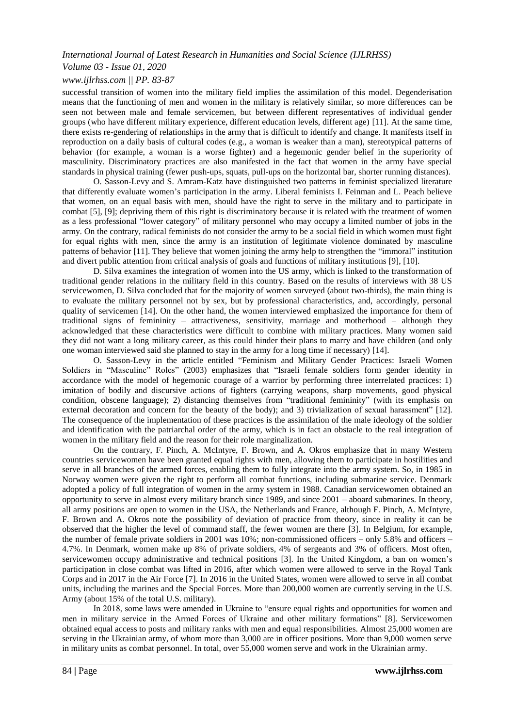## *International Journal of Latest Research in Humanities and Social Science (IJLRHSS)*

# *Volume 03 - Issue 01, 2020*

# *www.ijlrhss.com || PP. 83-87*

successful transition of women into the military field implies the assimilation of this model. Degenderisation means that the functioning of men and women in the military is relatively similar, so more differences can be seen not between male and female servicemen, but between different representatives of individual gender groups (who have different military experience, different education levels, different age) [11]. At the same time, there exists re-gendering of relationships in the army that is difficult to identify and change. It manifests itself in reproduction on a daily basis of cultural codes (e.g., a woman is weaker than a man), stereotypical patterns of behavior (for example, a woman is a worse fighter) and a hegemonic gender belief in the superiority of masculinity. Discriminatory practices are also manifested in the fact that women in the army have special standards in physical training (fewer push-ups, squats, pull-ups on the horizontal bar, shorter running distances).

O. Sasson-Levy and S. Amram-Katz have distinguished two patterns in feminist specialized literature that differently evaluate women"s participation in the army. Liberal feminists I. Feinman and L. Peach believe that women, on an equal basis with men, should have the right to serve in the military and to participate in combat [5], [9]; depriving them of this right is discriminatory because it is related with the treatment of women as a less professional "lower category" of military personnel who may occupy a limited number of jobs in the army. On the contrary, radical feminists do not consider the army to be a social field in which women must fight for equal rights with men, since the army is an institution of legitimate violence dominated by masculine patterns of behavior [11]. They believe that women joining the army help to strengthen the "immoral" institution and divert public attention from critical analysis of goals and functions of military institutions [9], [10].

D. Silva examines the integration of women into the US army, which is linked to the transformation of traditional gender relations in the military field in this country. Based on the results of interviews with 38 US servicewomen, D. Silva concluded that for the majority of women surveyed (about two-thirds), the main thing is to evaluate the military personnel not by sex, but by professional characteristics, and, accordingly, personal quality of servicemen [14]. On the other hand, the women interviewed emphasized the importance for them of traditional signs of femininity – attractiveness, sensitivity, marriage and motherhood – although they acknowledged that these characteristics were difficult to combine with military practices. Many women said they did not want a long military career, as this could hinder their plans to marry and have children (and only one woman interviewed said she planned to stay in the army for a long time if necessary) [14].

O. Sasson-Levy in the article entitled "Feminism and Military Gender Practices: Israeli Women Soldiers in "Masculine" Roles" (2003) emphasizes that "Israeli female soldiers form gender identity in accordance with the model of hegemonic courage of a warrior by performing three interrelated practices: 1) imitation of bodily and discursive actions of fighters (carrying weapons, sharp movements, good physical condition, obscene language); 2) distancing themselves from "traditional femininity" (with its emphasis on external decoration and concern for the beauty of the body); and 3) trivialization of sexual harassment" [12]. The consequence of the implementation of these practices is the assimilation of the male ideology of the soldier and identification with the patriarchal order of the army, which is in fact an obstacle to the real integration of women in the military field and the reason for their role marginalization.

On the contrary, F. Pinch, A. McIntyre, F. Brown, and A. Okros emphasize that in many Western countries servicewomen have been granted equal rights with men, allowing them to participate in hostilities and serve in all branches of the armed forces, enabling them to fully integrate into the army system. So, in 1985 in Norway women were given the right to perform all combat functions, including submarine service. Denmark adopted a policy of full integration of women in the army system in 1988. Canadian servicewomen obtained an opportunity to serve in almost every military branch since 1989, and since 2001 – aboard submarines. In theory, all army positions are open to women in the USA, the Netherlands and France, although F. Pinch, A. McIntyre, F. Brown and A. Okros note the possibility of deviation of practice from theory, since in reality it can be observed that the higher the level of command staff, the fewer women are there [3]. In Belgium, for example, the number of female private soldiers in 2001 was 10%; non-commissioned officers – only 5.8% and officers – 4.7%. In Denmark, women make up 8% of private soldiers, 4% of sergeants and 3% of officers. Most often, servicewomen occupy administrative and technical positions [3]. In the United Kingdom, a ban on women"s participation in close combat was lifted in 2016, after which women were allowed to serve in the Royal Tank Corps and in 2017 in the Air Force [7]. In 2016 in the United States, women were allowed to serve in all combat units, including the marines and the Special Forces. More than 200,000 women are currently serving in the U.S. Army (about 15% of the total U.S. military).

In 2018, some laws were amended in Ukraine to "ensure equal rights and opportunities for women and men in military service in the Armed Forces of Ukraine and other military formations" [8]. Servicewomen obtained equal access to posts and military ranks with men and equal responsibilities. Almost 25,000 women are serving in the Ukrainian army, of whom more than 3,000 are in officer positions. More than 9,000 women serve in military units as combat personnel. In total, over 55,000 women serve and work in the Ukrainian army.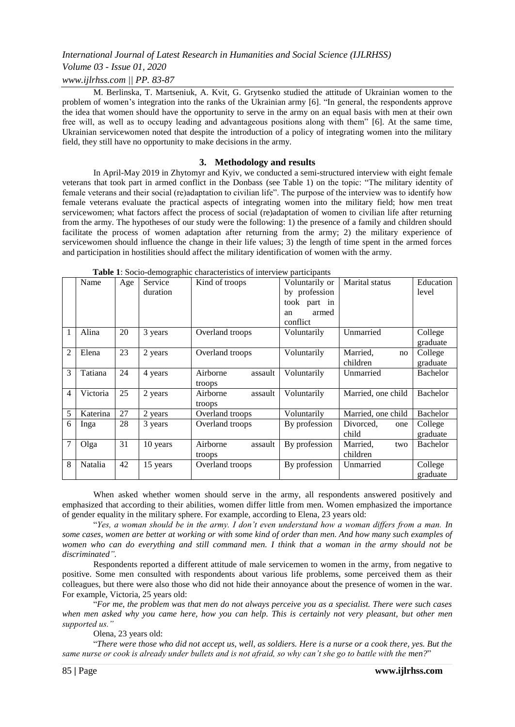## *International Journal of Latest Research in Humanities and Social Science (IJLRHSS)*

## *Volume 03 - Issue 01, 2020*

#### *www.ijlrhss.com || PP. 83-87*

M. Berlinska, T. Martseniuk, A. Kvit, G. Grytsenko studied the attitude of Ukrainian women to the problem of women's integration into the ranks of the Ukrainian army [6]. "In general, the respondents approve the idea that women should have the opportunity to serve in the army on an equal basis with men at their own free will, as well as to occupy leading and advantageous positions along with them" [6]. At the same time, Ukrainian servicewomen noted that despite the introduction of a policy of integrating women into the military field, they still have no opportunity to make decisions in the army.

#### **3. Methodology and results**

In April-May 2019 in Zhytomyr and Kyiv, we conducted a semi-structured interview with eight female veterans that took part in armed conflict in the Donbass (see Table 1) on the topic: "The military identity of female veterans and their social (re)adaptation to civilian life". The purpose of the interview was to identify how female veterans evaluate the practical aspects of integrating women into the military field; how men treat servicewomen; what factors affect the process of social (re)adaptation of women to civilian life after returning from the army. The hypotheses of our study were the following: 1) the presence of a family and children should facilitate the process of women adaptation after returning from the army; 2) the military experience of servicewomen should influence the change in their life values; 3) the length of time spent in the armed forces and participation in hostilities should affect the military identification of women with the army.

|                | Name     | Age | $\cdots$ $\cdots$<br>Service<br>duration | Kind of troops                | Voluntarily or<br>by profession<br>took part in<br>armed<br>an<br>conflict | Marital status              | Education<br>level  |
|----------------|----------|-----|------------------------------------------|-------------------------------|----------------------------------------------------------------------------|-----------------------------|---------------------|
| 1              | Alina    | 20  | 3 years                                  | Overland troops               | Voluntarily                                                                | Unmarried                   | College<br>graduate |
| $\overline{2}$ | Elena    | 23  | 2 years                                  | Overland troops               | Voluntarily                                                                | Married,<br>no<br>children  | College<br>graduate |
| 3              | Tatiana  | 24  | 4 years                                  | Airborne<br>assault<br>troops | Voluntarily                                                                | Unmarried                   | Bachelor            |
| 4              | Victoria | 25  | 2 years                                  | Airborne<br>assault<br>troops | Voluntarily                                                                | Married, one child          | Bachelor            |
| 5              | Katerina | 27  | 2 years                                  | Overland troops               | Voluntarily                                                                | Married, one child          | <b>Bachelor</b>     |
| 6              | Inga     | 28  | 3 years                                  | Overland troops               | By profession                                                              | Divorced,<br>one<br>child   | College<br>graduate |
|                | Olga     | 31  | 10 years                                 | Airborne<br>assault<br>troops | By profession                                                              | Married,<br>two<br>children | Bachelor            |
| 8              | Natalia  | 42  | 15 years                                 | Overland troops               | By profession                                                              | Unmarried                   | College<br>graduate |

**Table 1**: Socio-demographic characteristics of interview participants

When asked whether women should serve in the army, all respondents answered positively and emphasized that according to their abilities, women differ little from men. Women emphasized the importance of gender equality in the military sphere. For example, according to Elena, 23 years old:

"*Yes, a woman should be in the army. I don't even understand how a woman differs from a man. In some cases, women are better at working or with some kind of order than men. And how many such examples of women who can do everything and still command men. I think that a woman in the army should not be discriminated".*

Respondents reported a different attitude of male servicemen to women in the army, from negative to positive. Some men consulted with respondents about various life problems, some perceived them as their colleagues, but there were also those who did not hide their annoyance about the presence of women in the war. For example, Victoria, 25 years old:

"*For me, the problem was that men do not always perceive you as a specialist. There were such cases when men asked why you came here, how you can help. This is certainly not very pleasant, but other men supported us."*

Olena, 23 years old:

"*There were those who did not accept us, well, as soldiers. Here is a nurse or a cook there, yes. But the same nurse or cook is already under bullets and is not afraid, so why can't she go to battle with the men?*"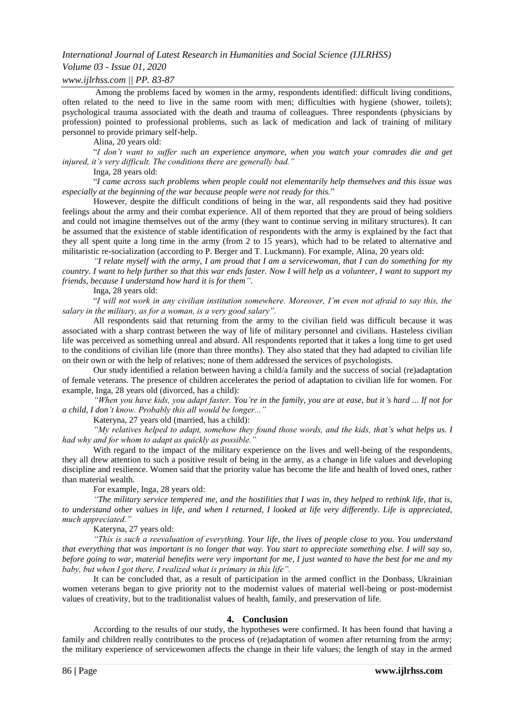#### *International Journal of Latest Research in Humanities and Social Science (IJLRHSS)*

## *Volume 03 - Issue 01, 2020*

#### *www.ijlrhss.com || PP. 83-87*

Among the problems faced by women in the army, respondents identified: difficult living conditions, often related to the need to live in the same room with men; difficulties with hygiene (shower, toilets); psychological trauma associated with the death and trauma of colleagues. Three respondents (physicians by profession) pointed to professional problems, such as lack of medication and lack of training of military personnel to provide primary self-help.

Alina, 20 years old:

"*I don't want to suffer such an experience anymore, when you watch your comrades die and get injured, it's very difficult. The conditions there are generally bad."*

Inga, 28 years old:

"*I came across such problems when people could not elementarily help themselves and this issue was especially at the beginning of the war because people were not ready for this.*"

However, despite the difficult conditions of being in the war, all respondents said they had positive feelings about the army and their combat experience. All of them reported that they are proud of being soldiers and could not imagine themselves out of the army (they want to continue serving in military structures). It can be assumed that the existence of stable identification of respondents with the army is explained by the fact that they all spent quite a long time in the army (from 2 to 15 years), which had to be related to alternative and militaristic re-socialization (according to P. Berger and T. Luckmann). For example, Alina, 20 years old:

*"I relate myself with the army, I am proud that I am a servicewoman, that I can do something for my country. I want to help further so that this war ends faster. Now I will help as a volunteer, I want to support my friends, because I understand how hard it is for them"*.

Inga, 28 years old:

"*I will not work in any civilian institution somewhere. Moreover, I'm even not afraid to say this, the salary in the military, as for a woman, is a very good salary".*

All respondents said that returning from the army to the civilian field was difficult because it was associated with a sharp contrast between the way of life of military personnel and civilians. Hasteless civilian life was perceived as something unreal and absurd. All respondents reported that it takes a long time to get used to the conditions of civilian life (more than three months). They also stated that they had adapted to civilian life on their own or with the help of relatives; none of them addressed the services of psychologists.

Our study identified a relation between having a child/a family and the success of social (re)adaptation of female veterans. The presence of children accelerates the period of adaptation to civilian life for women. For example, Inga, 28 years old (divorced, has a child):

*"When you have kids, you adapt faster. You're in the family, you are at ease, but it's hard ... If not for a child, I don't know. Probably this all would be longer..."*

Kateryna, 27 years old (married, has a child):

*"My relatives helped to adapt, somehow they found those words, and the kids, that's what helps us. I had why and for whom to adapt as quickly as possible."*

With regard to the impact of the military experience on the lives and well-being of the respondents, they all drew attention to such a positive result of being in the army, as a change in life values and developing discipline and resilience. Women said that the priority value has become the life and health of loved ones, rather than material wealth.

For example, Inga, 28 years old:

*"The military service tempered me, and the hostilities that I was in, they helped to rethink life, that is, to understand other values in life, and when I returned, I looked at life very differently. Life is appreciated, much appreciated."*

Kateryna, 27 years old:

*"This is such a reevaluation of everything. Your life, the lives of people close to you. You understand that everything that was important is no longer that way. You start to appreciate something else. I will say so, before going to war, material benefits were very important for me, I just wanted to have the best for me and my baby, but when I got there, I realized what is primary in this life".*

It can be concluded that, as a result of participation in the armed conflict in the Donbass, Ukrainian women veterans began to give priority not to the modernist values of material well-being or post-modernist values of creativity, but to the traditionalist values of health, family, and preservation of life.

#### **4. Conclusion**

According to the results of our study, the hypotheses were confirmed. It has been found that having a family and children really contributes to the process of (re)adaptation of women after returning from the army; the military experience of servicewomen affects the change in their life values; the length of stay in the armed